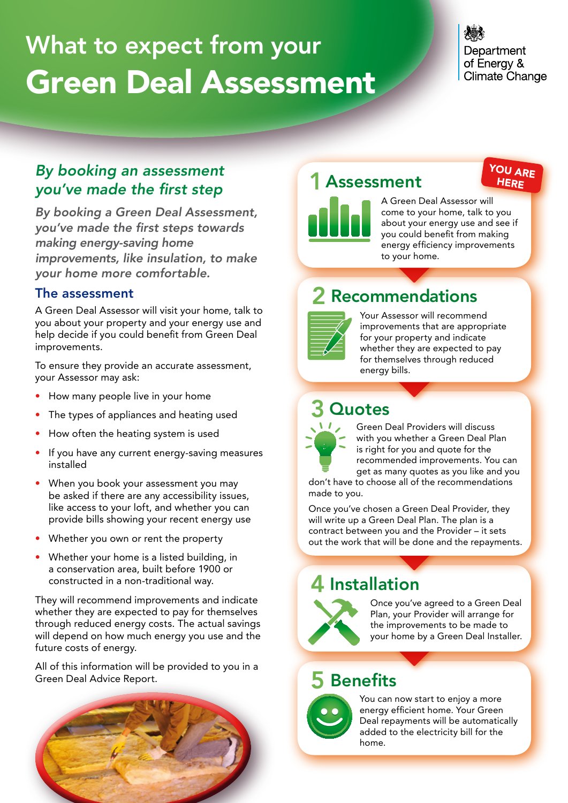# What to expect from your Green Deal Assessment

### Department of Energy & **Climate Change**

YOU ARE **HERE** 

### *By booking an assessment* you've made the first step

By booking a Green Deal Assessment, you've made the first steps towards making energy-saving home improvements, like insulation, to make your home more comfortable.

#### The assessment

A Green Deal Assessor will visit your home, talk to you about your property and your energy use and help decide if you could benefit from Green Deal improvements.

To ensure they provide an accurate assessment, your Assessor may ask:

- How many people live in your home
- The types of appliances and heating used **4 <b>B** Quotes
- How often the heating system is used
- If you have any current energy-saving measures installed
- When you book your assessment you may be asked if there are any accessibility issues, like access to your loft, and whether you can provide bills showing your recent energy use
- Whether you own or rent the property
- Whether your home is a listed building, in a conservation area, built before 1900 or constructed in a non-traditional way.

They will recommend improvements and indicate whether they are expected to pay for themselves through reduced energy costs. The actual savings will depend on how much energy you use and the future costs of energy.

**Assessment Deal Advice Report.**  $\begin{bmatrix} 1 & 0 \\ 0 & 1 \end{bmatrix}$ All of this information will be provided to you in a



### 1 Assessment<br>
2 **Recording 2 <b>Recording 2 3 ARE**



A Green Deal Assessor will come to your home, talk to you about your energy use and see if you could benefit from making energy efficiency improvements to your home.

# **1 2 Recommendations**



Your Assessor will recommend improvements that are appropriate for your property and indicate whether they are expected to pay for themselves through reduced energy bills.

### **Quotes**



Green Deal Providers will discuss with you whether a Green Deal Plan is right for you and quote for the recommended improvements. You can get as many quotes as you like and you

don't have to choose all of the recommendations made to you.

Once you've chosen a Green Deal Provider, they will write up a Green Deal Plan. The plan is a contract between you and the Provider – it sets out the work that will be done and the repayments.

## red in a non-traditional way.<br>**4 Installation**



Once you've agreed to a Green Deal Plan, your Provider will arrange for the improvements to be made to your home by a Green Deal Installer.

### 5 Benefits



You can now start to enjoy a more energy efficient home. Your Green Deal repayments will be automatically added to the electricity bill for the home.